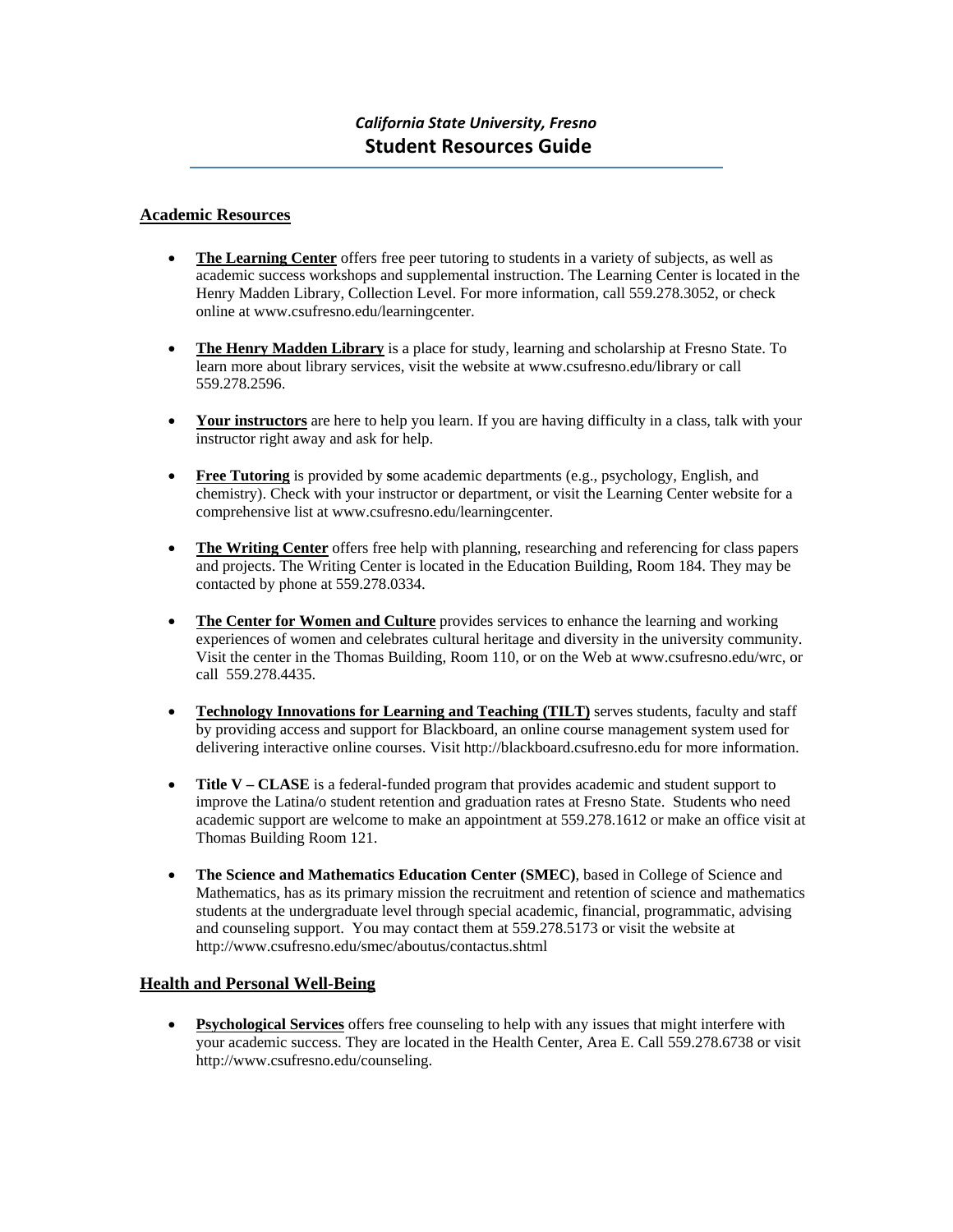#### **Academic Resources**

- **The Learning Center** offers free peer tutoring to students in a variety of subjects, as well as academic success workshops and supplemental instruction. The Learning Center is located in the Henry Madden Library, Collection Level. For more information, call 559.278.3052, or check online at www.csufresno.edu/learningcenter.
- **The Henry Madden Library** is a place for study, learning and scholarship at Fresno State. To learn more about library services, visit the website at www.csufresno.edu/library or call 559.278.2596.
- **Your instructors** are here to help you learn. If you are having difficulty in a class, talk with your instructor right away and ask for help.
- **Free Tutoring** is provided by **s**ome academic departments (e.g., psychology, English, and chemistry). Check with your instructor or department, or visit the Learning Center website for a comprehensive list at www.csufresno.edu/learningcenter.
- **The Writing Center** offers free help with planning, researching and referencing for class papers and projects. The Writing Center is located in the Education Building, Room 184. They may be contacted by phone at 559.278.0334.
- **The Center for Women and Culture** provides services to enhance the learning and working experiences of women and celebrates cultural heritage and diversity in the university community. Visit the center in the Thomas Building, Room 110, or on the Web at www.csufresno.edu/wrc, or call 559.278.4435.
- **Technology Innovations for Learning and Teaching (TILT)** serves students, faculty and staff by providing access and support for Blackboard, an online course management system used for delivering interactive online courses. Visit http://blackboard.csufresno.edu for more information.
- **Title V CLASE** is a federal-funded program that provides academic and student support to improve the Latina/o student retention and graduation rates at Fresno State. Students who need academic support are welcome to make an appointment at 559.278.1612 or make an office visit at Thomas Building Room 121.
- **The Science and Mathematics Education Center (SMEC)**, based in College of Science and Mathematics, has as its primary mission the recruitment and retention of science and mathematics students at the undergraduate level through special academic, financial, programmatic, advising and counseling support. You may contact them at 559.278.5173 or visit the website at http://www.csufresno.edu/smec/aboutus/contactus.shtml

### **Health and Personal Well-Being**

 **Psychological Services** offers free counseling to help with any issues that might interfere with your academic success. They are located in the Health Center, Area E. Call 559.278.6738 or visit http://www.csufresno.edu/counseling.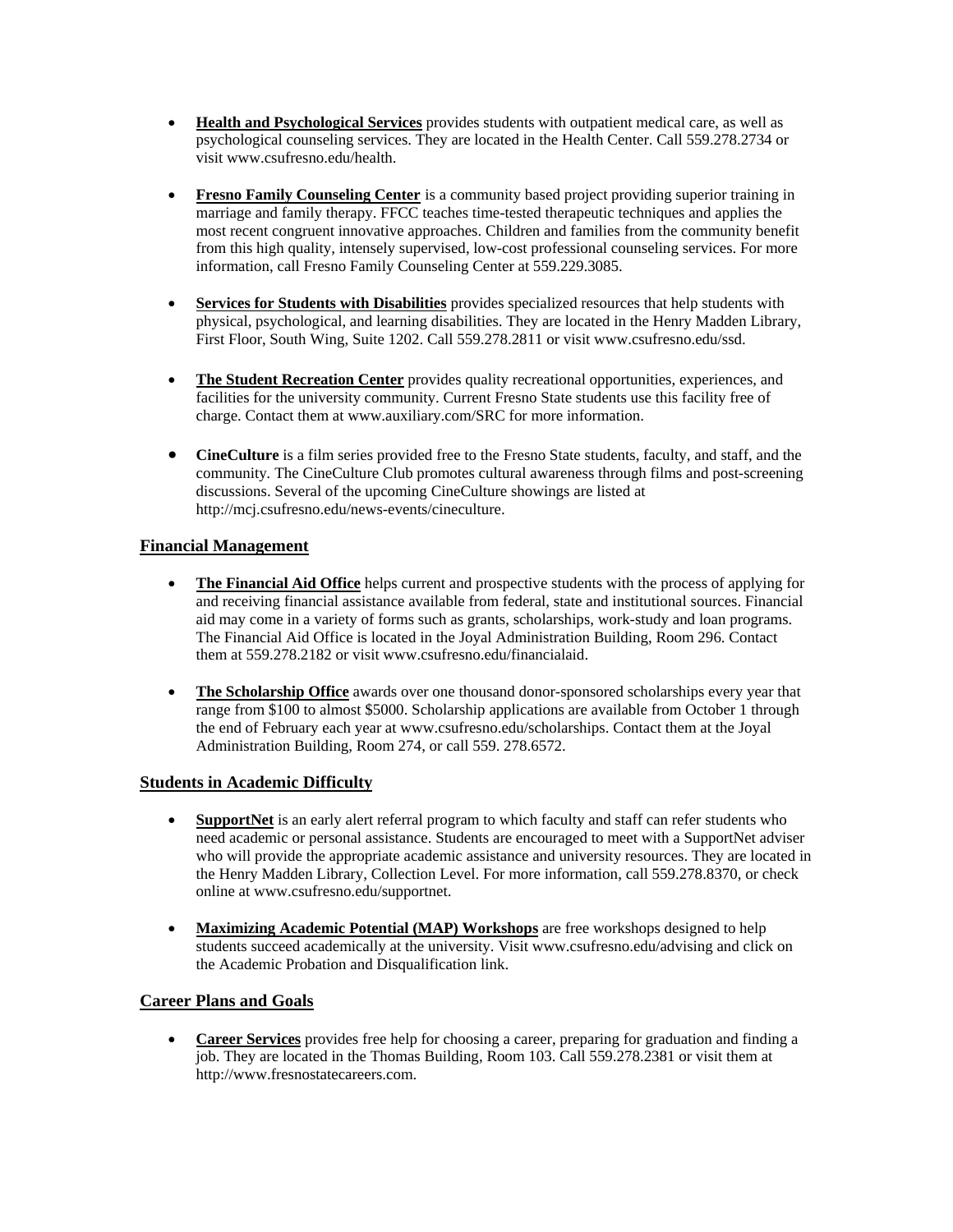- **Health and Psychological Services** provides students with outpatient medical care, as well as psychological counseling services. They are located in the Health Center. Call 559.278.2734 or visit www.csufresno.edu/health.
- **Fresno Family Counseling Center** is a community based project providing superior training in marriage and family therapy. FFCC teaches time-tested therapeutic techniques and applies the most recent congruent innovative approaches. Children and families from the community benefit from this high quality, intensely supervised, low-cost professional counseling services. For more information, call Fresno Family Counseling Center at 559.229.3085.
- **Services for Students with Disabilities** provides specialized resources that help students with physical, psychological, and learning disabilities. They are located in the Henry Madden Library, First Floor, South Wing, Suite 1202. Call 559.278.2811 or visit www.csufresno.edu/ssd.
- **The Student Recreation Center** provides quality recreational opportunities, experiences, and facilities for the university community. Current Fresno State students use this facility free of charge. Contact them at www.auxiliary.com/SRC for more information.
- **CineCulture** is a film series provided free to the Fresno State students, faculty, and staff, and the community*.* The CineCulture Club promotes cultural awareness through films and post-screening discussions. Several of the upcoming CineCulture showings are listed at http://mcj.csufresno.edu/news-events/cineculture.

## **Financial Management**

- **The Financial Aid Office** helps current and prospective students with the process of applying for and receiving financial assistance available from federal, state and institutional sources. Financial aid may come in a variety of forms such as grants, scholarships, work-study and loan programs. The Financial Aid Office is located in the Joyal Administration Building, Room 296. Contact them at 559.278.2182 or visit www.csufresno.edu/financialaid.
- **The Scholarship Office** awards over one thousand donor-sponsored scholarships every year that range from \$100 to almost \$5000. Scholarship applications are available from October 1 through the end of February each year at www.csufresno.edu/scholarships. Contact them at the Joyal Administration Building, Room 274, or call 559. 278.6572.

### **Students in Academic Difficulty**

- **SupportNet** is an early alert referral program to which faculty and staff can refer students who need academic or personal assistance. Students are encouraged to meet with a SupportNet adviser who will provide the appropriate academic assistance and university resources. They are located in the Henry Madden Library, Collection Level. For more information, call 559.278.8370, or check online at www.csufresno.edu/supportnet.
- **Maximizing Academic Potential (MAP) Workshops** are free workshops designed to help students succeed academically at the university. Visit www.csufresno.edu/advising and click on the Academic Probation and Disqualification link.

# **Career Plans and Goals**

 **Career Services** provides free help for choosing a career, preparing for graduation and finding a job. They are located in the Thomas Building, Room 103. Call 559.278.2381 or visit them at http://www.fresnostatecareers.com.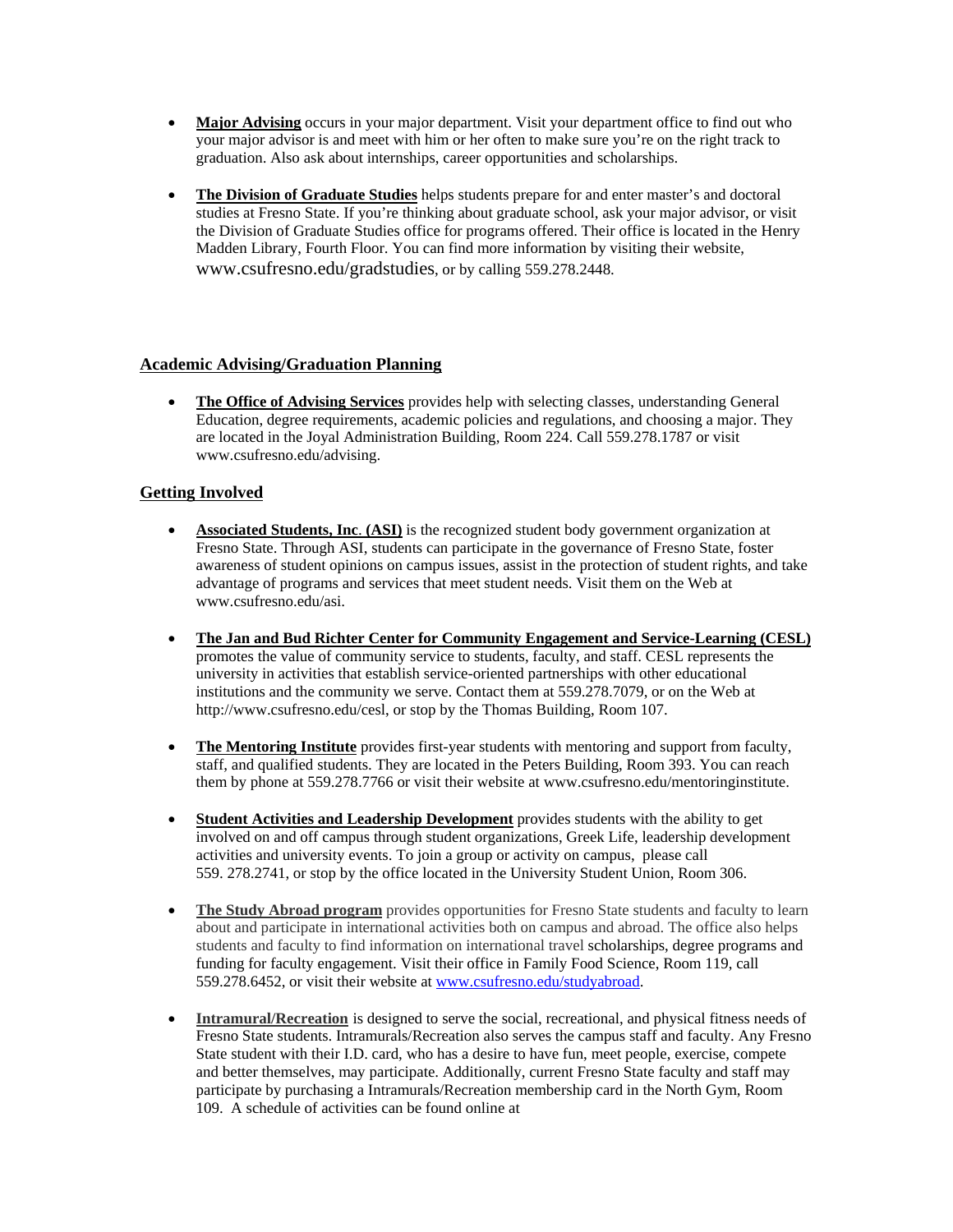- **Major Advising** occurs in your major department. Visit your department office to find out who your major advisor is and meet with him or her often to make sure you're on the right track to graduation. Also ask about internships, career opportunities and scholarships.
- **The Division of Graduate Studies** helps students prepare for and enter master's and doctoral studies at Fresno State. If you're thinking about graduate school, ask your major advisor, or visit the Division of Graduate Studies office for programs offered. Their office is located in the Henry Madden Library, Fourth Floor. You can find more information by visiting their website, www.csufresno.edu/gradstudies, or by calling 559.278.2448.

### **Academic Advising/Graduation Planning**

• The Office of Advising Services provides help with selecting classes, understanding General Education, degree requirements, academic policies and regulations, and choosing a major. They are located in the Joyal Administration Building, Room 224. Call 559.278.1787 or visit www.csufresno.edu/advising.

### **Getting Involved**

- **Associated Students, Inc**. **(ASI)** is the recognized student body government organization at Fresno State. Through ASI, students can participate in the governance of Fresno State, foster awareness of student opinions on campus issues, assist in the protection of student rights, and take advantage of programs and services that meet student needs. Visit them on the Web at www.csufresno.edu/asi.
- **The Jan and Bud Richter Center for Community Engagement and Service-Learning (CESL)**  promotes the value of community service to students, faculty, and staff. CESL represents the university in activities that establish service-oriented partnerships with other educational institutions and the community we serve. Contact them at 559.278.7079, or on the Web at http://www.csufresno.edu/cesl, or stop by the Thomas Building, Room 107.
- The Mentoring Institute provides first-year students with mentoring and support from faculty, staff, and qualified students. They are located in the Peters Building, Room 393. You can reach them by phone at 559.278.7766 or visit their website at www.csufresno.edu/mentoringinstitute.
- **Student Activities and Leadership Development** provides students with the ability to get involved on and off campus through student organizations, Greek Life, leadership development activities and university events. To join a group or activity on campus, please call 559. 278.2741, or stop by the office located in the University Student Union, Room 306.
- The Study Abroad program provides opportunities for Fresno State students and faculty to learn about and participate in international activities both on campus and abroad. The office also helps students and faculty to find information on international travel scholarships, degree programs and funding for faculty engagement. Visit their office in Family Food Science, Room 119, call 559.278.6452, or visit their website at www.csufresno.edu/studyabroad.
- **Intramural/Recreation** is designed to serve the social, recreational, and physical fitness needs of Fresno State students. Intramurals/Recreation also serves the campus staff and faculty. Any Fresno State student with their I.D. card, who has a desire to have fun, meet people, exercise, compete and better themselves, may participate. Additionally, current Fresno State faculty and staff may participate by purchasing a Intramurals/Recreation membership card in the North Gym, Room 109. A schedule of activities can be found online at